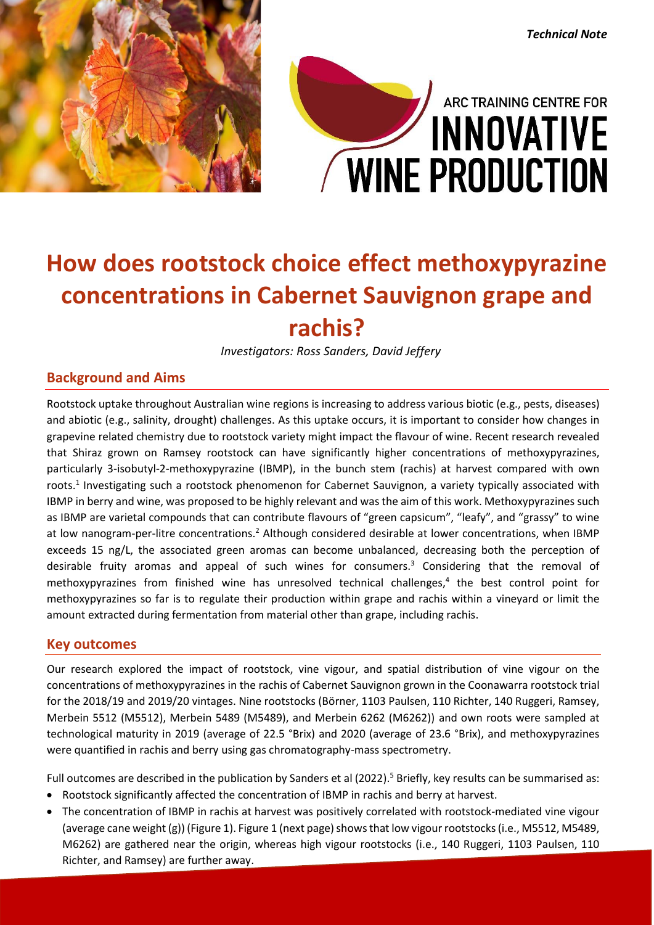

# ARC TRAINING CENTRE FOR **INNOVATIVE WINE PRODUCTION**

*Technical Note*

## **How does rootstock choice effect methoxypyrazine concentrations in Cabernet Sauvignon grape and rachis?**

*Investigators: Ross Sanders, David Jeffery*

#### **Background and Aims**

Rootstock uptake throughout Australian wine regions is increasing to address various biotic (e.g., pests, diseases) and abiotic (e.g., salinity, drought) challenges. As this uptake occurs, it is important to consider how changes in grapevine related chemistry due to rootstock variety might impact the flavour of wine. Recent research revealed that Shiraz grown on Ramsey rootstock can have significantly higher concentrations of methoxypyrazines, particularly 3-isobutyl-2-methoxypyrazine (IBMP), in the bunch stem (rachis) at harvest compared with own roots. 1 Investigating such a rootstock phenomenon for Cabernet Sauvignon, a variety typically associated with IBMP in berry and wine, was proposed to be highly relevant and was the aim of this work. Methoxypyrazines such as IBMP are varietal compounds that can contribute flavours of "green capsicum", "leafy", and "grassy" to wine at low nanogram-per-litre concentrations.<sup>2</sup> Although considered desirable at lower concentrations, when IBMP exceeds 15 ng/L, the associated green aromas can become unbalanced, decreasing both the perception of desirable fruity aromas and appeal of such wines for consumers. <sup>3</sup> Considering that the removal of methoxypyrazines from finished wine has unresolved technical challenges, 4 the best control point for methoxypyrazines so far is to regulate their production within grape and rachis within a vineyard or limit the amount extracted during fermentation from material other than grape, including rachis.

#### **Key outcomes**

Our research explored the impact of rootstock, vine vigour, and spatial distribution of vine vigour on the concentrations of methoxypyrazines in the rachis of Cabernet Sauvignon grown in the Coonawarra rootstock trial for the 2018/19 and 2019/20 vintages. Nine rootstocks (Börner, 1103 Paulsen, 110 Richter, 140 Ruggeri, Ramsey, Merbein 5512 (M5512), Merbein 5489 (M5489), and Merbein 6262 (M6262)) and own roots were sampled at technological maturity in 2019 (average of 22.5 °Brix) and 2020 (average of 23.6 °Brix), and methoxypyrazines were quantified in rachis and berry using gas chromatography-mass spectrometry.

Full outcomes are described in the publication by Sanders et al (2022).<sup>5</sup> Briefly, key results can be summarised as:

- Rootstock significantly affected the concentration of IBMP in rachis and berry at harvest.
- The concentration of IBMP in rachis at harvest was positively correlated with rootstock-mediated vine vigour (average cane weight (g)) (Figure 1). Figure 1 (next page) shows that low vigour rootstocks (i.e., M5512, M5489, M6262) are gathered near the origin, whereas high vigour rootstocks (i.e., 140 Ruggeri, 1103 Paulsen, 110 Richter, and Ramsey) are further away.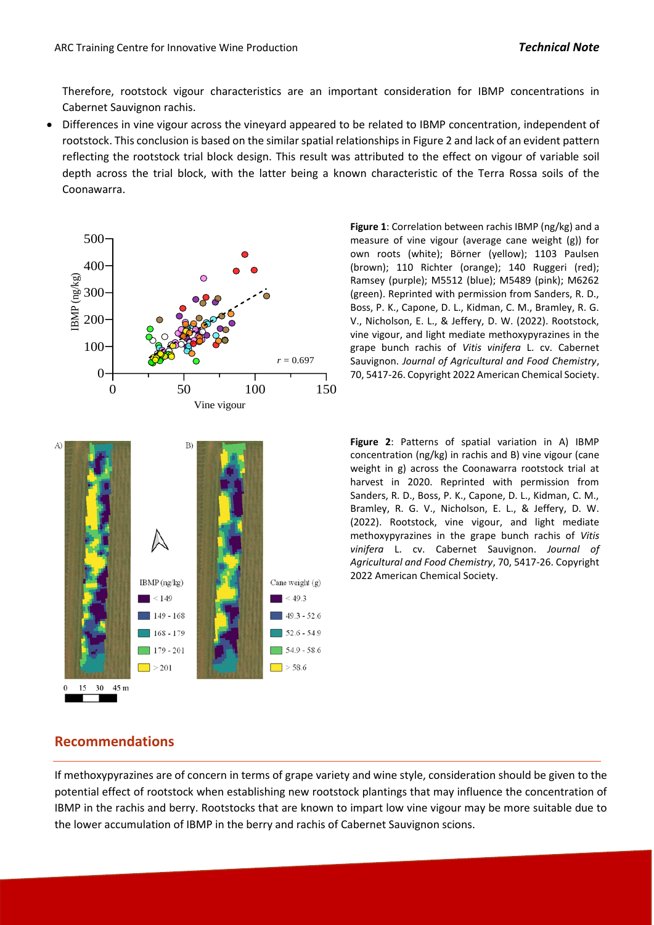Therefore, rootstock vigour characteristics are an important consideration for IBMP concentrations in Cabernet Sauvignon rachis.

 Differences in vine vigour across the vineyard appeared to be related to IBMP concentration, independent of rootstock. This conclusion is based on the similar spatial relationships in Figure 2 and lack of an evident pattern reflecting the rootstock trial block design. This result was attributed to the effect on vigour of variable soil depth across the trial block, with the latter being a known characteristic of the Terra Rossa soils of the Coonawarra.



*r* = 0.697 Sauvignon. *Journal of Agricultural and Food Chemistry*, **Figure 1**: Correlation between rachis IBMP (ng/kg) and a measure of vine vigour (average cane weight (g)) for own roots (white); Börner (yellow); 1103 Paulsen (brown); 110 Richter (orange); 140 Ruggeri (red); Ramsey (purple); M5512 (blue); M5489 (pink); M6262 (green). Reprinted with permission from Sanders, R. D., Boss, P. K., Capone, D. L., Kidman, C. M., Bramley, R. G. V., Nicholson, E. L., & Jeffery, D. W. (2022). Rootstock, vine vigour, and light mediate methoxypyrazines in the grape bunch rachis of *Vitis vinifera* L. cv. Cabernet 70, 5417-26. Copyright 2022 American Chemical Society.

> **Figure 2**: Patterns of spatial variation in A) IBMP concentration (ng/kg) in rachis and B) vine vigour (cane weight in g) across the Coonawarra rootstock trial at harvest in 2020. Reprinted with permission from Sanders, R. D., Boss, P. K., Capone, D. L., Kidman, C. M., Bramley, R. G. V., Nicholson, E. L., & Jeffery, D. W. (2022). Rootstock, vine vigour, and light mediate methoxypyrazines in the grape bunch rachis of *Vitis vinifera* L. cv. Cabernet Sauvignon. *Journal of Agricultural and Food Chemistry*, 70, 5417-26. Copyright 2022 American Chemical Society.

#### **Recommendations**

If methoxypyrazines are of concern in terms of grape variety and wine style, consideration should be given to the potential effect of rootstock when establishing new rootstock plantings that may influence the concentration of IBMP in the rachis and berry. Rootstocks that are known to impart low vine vigour may be more suitable due to the lower accumulation of IBMP in the berry and rachis of Cabernet Sauvignon scions.